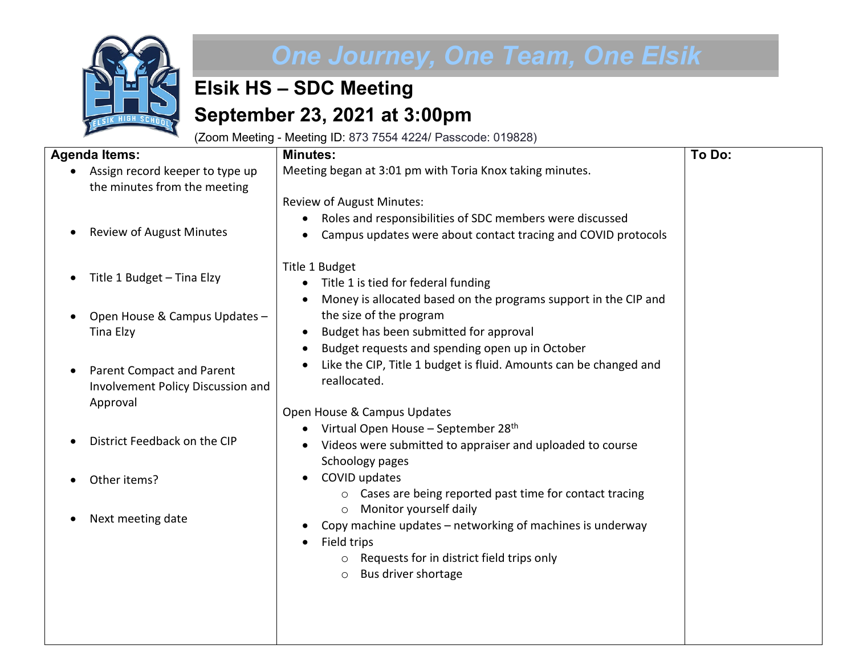

## *One Journey, One Team, One Elsik*

## **Elsik HS – SDC Meeting September 23, 2021 at 3:00pm**

(Zoom Meeting - Meeting ID: 873 7554 4224/ Passcode: 019828)

| <b>Agenda Items:</b>                                                        | <b>Minutes:</b>                                                                             | To Do: |
|-----------------------------------------------------------------------------|---------------------------------------------------------------------------------------------|--------|
| Assign record keeper to type up<br>the minutes from the meeting             | Meeting began at 3:01 pm with Toria Knox taking minutes.                                    |        |
|                                                                             | <b>Review of August Minutes:</b>                                                            |        |
|                                                                             | Roles and responsibilities of SDC members were discussed                                    |        |
| <b>Review of August Minutes</b><br>$\bullet$                                | Campus updates were about contact tracing and COVID protocols                               |        |
| Title 1 Budget - Tina Elzy                                                  | Title 1 Budget                                                                              |        |
|                                                                             | Title 1 is tied for federal funding                                                         |        |
| Open House & Campus Updates -                                               | Money is allocated based on the programs support in the CIP and<br>the size of the program  |        |
| <b>Tina Elzy</b>                                                            | Budget has been submitted for approval<br>٠                                                 |        |
|                                                                             | Budget requests and spending open up in October<br>٠                                        |        |
| Parent Compact and Parent<br>$\bullet$<br>Involvement Policy Discussion and | Like the CIP, Title 1 budget is fluid. Amounts can be changed and<br>reallocated.           |        |
| Approval                                                                    | Open House & Campus Updates                                                                 |        |
|                                                                             | Virtual Open House - September 28 <sup>th</sup>                                             |        |
| District Feedback on the CIP                                                | Videos were submitted to appraiser and uploaded to course<br>Schoology pages                |        |
| Other items?<br>$\bullet$                                                   | COVID updates                                                                               |        |
|                                                                             | Cases are being reported past time for contact tracing<br>$\circ$<br>Monitor yourself daily |        |
| Next meeting date<br>٠                                                      | $\circ$<br>Copy machine updates - networking of machines is underway                        |        |
|                                                                             | Field trips<br>$\bullet$                                                                    |        |
|                                                                             | Requests for in district field trips only<br>$\circ$                                        |        |
|                                                                             | Bus driver shortage<br>$\circ$                                                              |        |
|                                                                             |                                                                                             |        |
|                                                                             |                                                                                             |        |
|                                                                             |                                                                                             |        |
|                                                                             |                                                                                             |        |